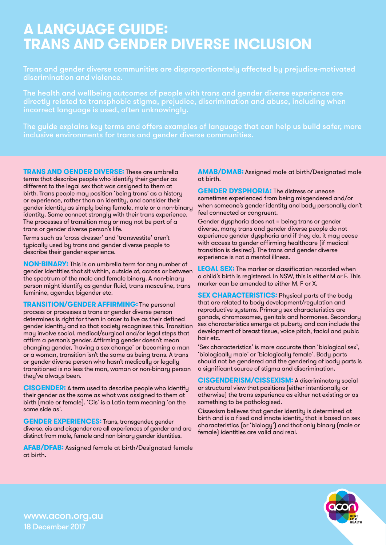## **A LANGUAGE GUIDE: TRANS AND GENDER DIVERSE INCLUSION**

Trans and gender diverse communities are disproportionately affected by prejudice-motivated discrimination and violence.

The health and wellbeing outcomes of people with trans and gender diverse experience are directly related to transphobic stigma, prejudice, discrimination and abuse, including when incorrect language is used, often unknowingly.

The guide explains key terms and offers examples of language that can help us build safer, more inclusive environments for trans and gender diverse communities.

**TRANS AND GENDER DIVERSE:** These are umbrella terms that describe people who identify their gender as different to the legal sex that was assigned to them at birth. Trans people may position 'being trans' as a history or experience, rather than an identity, and consider their gender identity as simply being female, male or a non-binary identity. Some connect strongly with their trans experience. The processes of transition may or may not be part of a trans or gender diverse person's life.

Terms such as 'cross dresser' and 'transvestite' aren't typically used by trans and gender diverse people to describe their gender experience.

**NON-BINARY:** This is an umbrella term for any number of gender identities that sit within, outside of, across or between the spectrum of the male and female binary. A non-binary person might identify as gender fluid, trans masculine, trans feminine, agender, bigender etc.

**TRANSITION/GENDER AFFIRMING:** The personal process or processes a trans or gender diverse person determines is right for them in order to live as their defined gender identity and so that society recognises this. Transition may involve social, medical/surgical and/or legal steps that affirm a person's gender. Affirming gender doesn't mean changing gender, 'having a sex change' or becoming a man or a woman, transition isn't the same as being trans. A trans or gender diverse person who hasn't medically or legally transitioned is no less the man, woman or non-binary person they've always been.

**CISGENDER:** A term used to describe people who identify their gender as the same as what was assigned to them at birth (male or female). 'Cis' is a Latin term meaning 'on the same side as'.

**GENDER EXPERIENCES:** Trans, transgender, gender diverse, cis and cisgender are all experiences of gender and are distinct from male, female and non-binary gender identities.

**AFAB/DFAB:** Assigned female at birth/Designated female at birth.

## **AMAB/DMAB:** Assigned male at birth/Designated male at birth.

**GENDER DYSPHORIA:** The distress or unease sometimes experienced from being misgendered and/or when someone's gender identity and body personally don't feel connected or congruent.

Gender dysphoria does not = being trans or gender diverse, many trans and gender diverse people do not experience gender dysphoria and if they do, it may cease with access to gender affirming healthcare (if medical transition is desired). The trans and gender diverse experience is not a mental illness.

**LEGAL SEX:** The marker or classification recorded when a child's birth is registered. In NSW, this is either M or F. This marker can be amended to either M, F or X.

**SEX CHARACTERISTICS:** Physical parts of the body that are related to body development/regulation and reproductive systems. Primary sex characteristics are gonads, chromosomes, genitals and hormones. Secondary sex characteristics emerge at puberty and can include the development of breast tissue, voice pitch, facial and pubic hair etc.

'Sex characteristics' is more accurate than 'biological sex', 'biologically male' or 'biologically female'. Body parts should not be gendered and the gendering of body parts is a significant source of stigma and discrimination.

**CISGENDERISM/CISSEXISM:** A discriminatory social or structural view that positions (either intentionally or otherwise) the trans experience as either not existing or as something to be pathologised.

Cissexism believes that gender identity is determined at birth and is a fixed and innate identity that is based on sex characteristics (or 'biology') and that only binary (male or female) identities are valid and real.



[www.acon.org.au](https://www.acon.org.au/) 18 December 2017